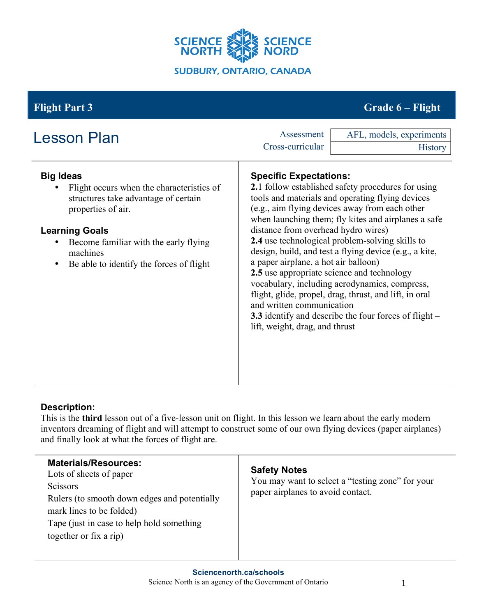

# **Flight Part 3 Grade 6 – Flight**

| <b>Lesson Plan</b>                                                                                                                                                                                                                                         | Assessment<br>Cross-curricular                                                                                                                                              | AFL, models, experiments<br><b>History</b>                                                                                                                                                                                                                                                                                                                                                                                                                                                                                                                   |
|------------------------------------------------------------------------------------------------------------------------------------------------------------------------------------------------------------------------------------------------------------|-----------------------------------------------------------------------------------------------------------------------------------------------------------------------------|--------------------------------------------------------------------------------------------------------------------------------------------------------------------------------------------------------------------------------------------------------------------------------------------------------------------------------------------------------------------------------------------------------------------------------------------------------------------------------------------------------------------------------------------------------------|
| <b>Big Ideas</b><br>Flight occurs when the characteristics of<br>structures take advantage of certain<br>properties of air.<br><b>Learning Goals</b><br>Become familiar with the early flying<br>machines<br>Be able to identify the forces of flight<br>٠ | <b>Specific Expectations:</b><br>distance from overhead hydro wires)<br>a paper airplane, a hot air balloon)<br>and written communication<br>lift, weight, drag, and thrust | <b>2.1</b> follow established safety procedures for using<br>tools and materials and operating flying devices<br>(e.g., aim flying devices away from each other<br>when launching them; fly kites and airplanes a safe<br>2.4 use technological problem-solving skills to<br>design, build, and test a flying device (e.g., a kite,<br>2.5 use appropriate science and technology<br>vocabulary, including aerodynamics, compress,<br>flight, glide, propel, drag, thrust, and lift, in oral<br><b>3.3</b> identify and describe the four forces of flight – |

## **Description:**

This is the **third** lesson out of a five-lesson unit on flight. In this lesson we learn about the early modern inventors dreaming of flight and will attempt to construct some of our own flying devices (paper airplanes) and finally look at what the forces of flight are.

| <b>Materials/Resources:</b><br>Lots of sheets of paper<br><b>Scissors</b><br>Rulers (to smooth down edges and potentially<br>mark lines to be folded)<br>Tape (just in case to help hold something)<br>together or fix a rip) | <b>Safety Notes</b><br>You may want to select a "testing zone" for your<br>paper airplanes to avoid contact. |
|-------------------------------------------------------------------------------------------------------------------------------------------------------------------------------------------------------------------------------|--------------------------------------------------------------------------------------------------------------|
|-------------------------------------------------------------------------------------------------------------------------------------------------------------------------------------------------------------------------------|--------------------------------------------------------------------------------------------------------------|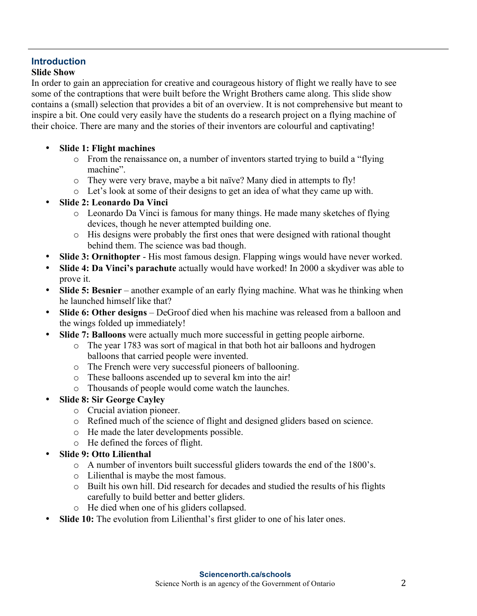## **Introduction**

### **Slide Show**

In order to gain an appreciation for creative and courageous history of flight we really have to see some of the contraptions that were built before the Wright Brothers came along. This slide show contains a (small) selection that provides a bit of an overview. It is not comprehensive but meant to inspire a bit. One could very easily have the students do a research project on a flying machine of their choice. There are many and the stories of their inventors are colourful and captivating!

- **Slide 1: Flight machines**
	- o From the renaissance on, a number of inventors started trying to build a "flying machine".
	- o They were very brave, maybe a bit naïve? Many died in attempts to fly!
	- o Let's look at some of their designs to get an idea of what they came up with.
- **Slide 2: Leonardo Da Vinci**
	- o Leonardo Da Vinci is famous for many things. He made many sketches of flying devices, though he never attempted building one.
	- o His designs were probably the first ones that were designed with rational thought behind them. The science was bad though.
- **Slide 3: Ornithopter** His most famous design. Flapping wings would have never worked.
- **Slide 4: Da Vinci's parachute** actually would have worked! In 2000 a skydiver was able to prove it.
- **Slide 5: Besnier** another example of an early flying machine. What was he thinking when he launched himself like that?
- **Slide 6: Other designs** DeGroof died when his machine was released from a balloon and the wings folded up immediately!
- **Slide 7: Balloons** were actually much more successful in getting people airborne.
	- o The year 1783 was sort of magical in that both hot air balloons and hydrogen balloons that carried people were invented.
	- o The French were very successful pioneers of ballooning.
	- o These balloons ascended up to several km into the air!
	- o Thousands of people would come watch the launches.
- **Slide 8: Sir George Cayley**
	- o Crucial aviation pioneer.
	- o Refined much of the science of flight and designed gliders based on science.
	- o He made the later developments possible.
	- o He defined the forces of flight.
- **Slide 9: Otto Lilienthal**
	- o A number of inventors built successful gliders towards the end of the 1800's.
	- o Lilienthal is maybe the most famous.
	- o Built his own hill. Did research for decades and studied the results of his flights carefully to build better and better gliders.
	- o He died when one of his gliders collapsed.
- **Slide 10:** The evolution from Lilienthal's first glider to one of his later ones.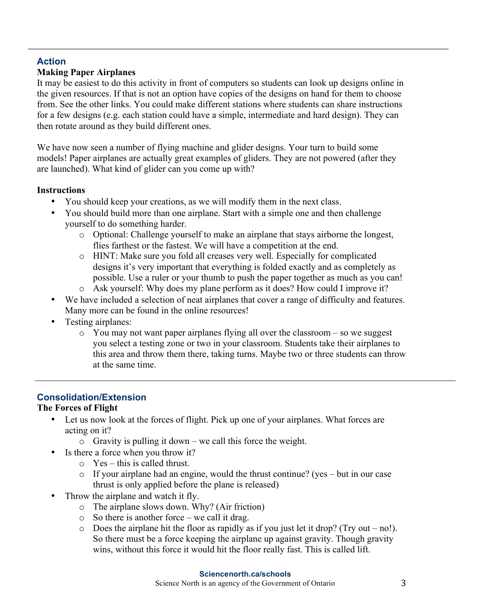## **Action**

## **Making Paper Airplanes**

It may be easiest to do this activity in front of computers so students can look up designs online in the given resources. If that is not an option have copies of the designs on hand for them to choose from. See the other links. You could make different stations where students can share instructions for a few designs (e.g. each station could have a simple, intermediate and hard design). They can then rotate around as they build different ones.

We have now seen a number of flying machine and glider designs. Your turn to build some models! Paper airplanes are actually great examples of gliders. They are not powered (after they are launched). What kind of glider can you come up with?

#### **Instructions**

- You should keep your creations, as we will modify them in the next class.
- You should build more than one airplane. Start with a simple one and then challenge yourself to do something harder.
	- o Optional: Challenge yourself to make an airplane that stays airborne the longest, flies farthest or the fastest. We will have a competition at the end.
	- o HINT: Make sure you fold all creases very well. Especially for complicated designs it's very important that everything is folded exactly and as completely as possible. Use a ruler or your thumb to push the paper together as much as you can!
	- o Ask yourself: Why does my plane perform as it does? How could I improve it?
- We have included a selection of neat airplanes that cover a range of difficulty and features. Many more can be found in the online resources!
- Testing airplanes:
	- o You may not want paper airplanes flying all over the classroom so we suggest you select a testing zone or two in your classroom. Students take their airplanes to this area and throw them there, taking turns. Maybe two or three students can throw at the same time.

## **Consolidation/Extension**

## **The Forces of Flight**

- Let us now look at the forces of flight. Pick up one of your airplanes. What forces are acting on it?
	- o Gravity is pulling it down we call this force the weight.
- Is there a force when you throw it?
	- $\circ$  Yes this is called thrust.
	- $\circ$  If your airplane had an engine, would the thrust continue? (yes but in our case thrust is only applied before the plane is released)
- Throw the airplane and watch it fly.
	- o The airplane slows down. Why? (Air friction)
	- o So there is another force we call it drag.
	- $\circ$  Does the airplane hit the floor as rapidly as if you just let it drop? (Try out no!). So there must be a force keeping the airplane up against gravity. Though gravity wins, without this force it would hit the floor really fast. This is called lift.